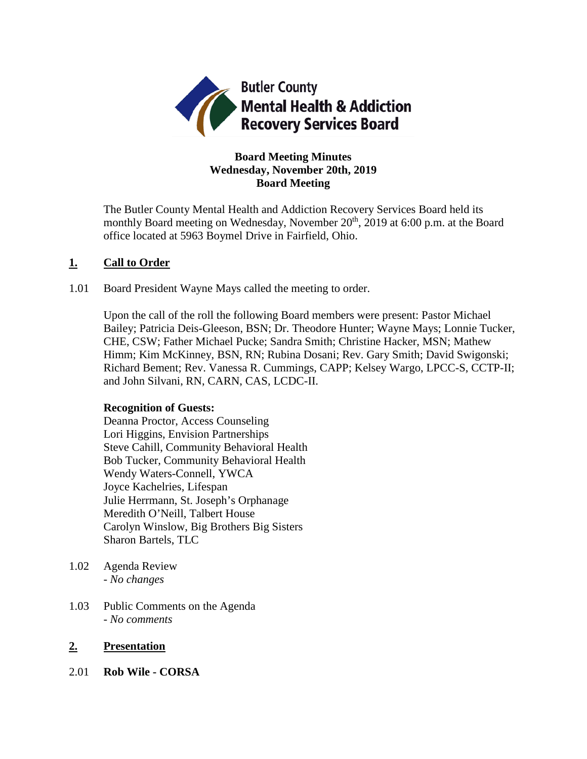

### **Board Meeting Minutes Wednesday, November 20th, 2019 Board Meeting**

The Butler County Mental Health and Addiction Recovery Services Board held its monthly Board meeting on Wednesday, November 20<sup>th</sup>, 2019 at 6:00 p.m. at the Board office located at 5963 Boymel Drive in Fairfield, Ohio.

### **1. Call to Order**

1.01 Board President Wayne Mays called the meeting to order.

Upon the call of the roll the following Board members were present: Pastor Michael Bailey; Patricia Deis-Gleeson, BSN; Dr. Theodore Hunter; Wayne Mays; Lonnie Tucker, CHE, CSW; Father Michael Pucke; Sandra Smith; Christine Hacker, MSN; Mathew Himm; Kim McKinney, BSN, RN; Rubina Dosani; Rev. Gary Smith; David Swigonski; Richard Bement; Rev. Vanessa R. Cummings, CAPP; Kelsey Wargo, LPCC-S, CCTP-II; and John Silvani, RN, CARN, CAS, LCDC-II.

### **Recognition of Guests:**

Deanna Proctor, Access Counseling Lori Higgins, Envision Partnerships Steve Cahill, Community Behavioral Health Bob Tucker, Community Behavioral Health Wendy Waters-Connell, YWCA Joyce Kachelries, Lifespan Julie Herrmann, St. Joseph's Orphanage Meredith O'Neill, Talbert House Carolyn Winslow, Big Brothers Big Sisters Sharon Bartels, TLC

- 1.02 Agenda Review *- No changes*
- 1.03 Public Comments on the Agenda - *No comments*

### **2. Presentation**

2.01 **Rob Wile - CORSA**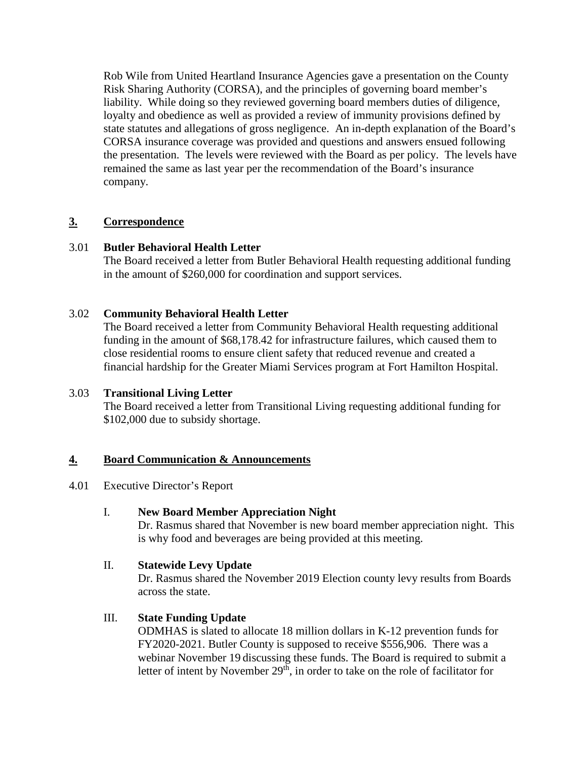Rob Wile from United Heartland Insurance Agencies gave a presentation on the County Risk Sharing Authority (CORSA), and the principles of governing board member's liability. While doing so they reviewed governing board members duties of diligence, loyalty and obedience as well as provided a review of immunity provisions defined by state statutes and allegations of gross negligence. An in-depth explanation of the Board's CORSA insurance coverage was provided and questions and answers ensued following the presentation. The levels were reviewed with the Board as per policy. The levels have remained the same as last year per the recommendation of the Board's insurance company.

# **3. Correspondence**

# 3.01 **Butler Behavioral Health Letter**

The Board received a letter from Butler Behavioral Health requesting additional funding in the amount of \$260,000 for coordination and support services.

### 3.02 **Community Behavioral Health Letter**

The Board received a letter from Community Behavioral Health requesting additional funding in the amount of \$68,178.42 for infrastructure failures, which caused them to close residential rooms to ensure client safety that reduced revenue and created a financial hardship for the Greater Miami Services program at Fort Hamilton Hospital.

### 3.03 **Transitional Living Letter**

The Board received a letter from Transitional Living requesting additional funding for \$102,000 due to subsidy shortage.

### **4. Board Communication & Announcements**

### 4.01 Executive Director's Report

### I. **New Board Member Appreciation Night**

Dr. Rasmus shared that November is new board member appreciation night. This is why food and beverages are being provided at this meeting.

### II. **Statewide Levy Update**

Dr. Rasmus shared the November 2019 Election county levy results from Boards across the state.

### III. **State Funding Update**

ODMHAS is slated to allocate 18 million dollars in K-12 prevention funds for FY2020-2021. Butler County is supposed to receive \$556,906. There was a webinar November 19 discussing these funds. The Board is required to submit a letter of intent by November  $29<sup>th</sup>$ , in order to take on the role of facilitator for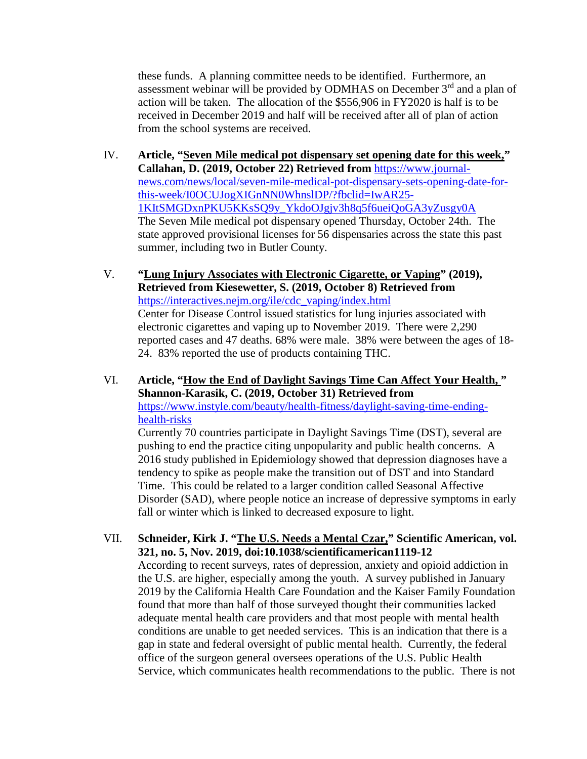these funds. A planning committee needs to be identified. Furthermore, an assessment webinar will be provided by ODMHAS on December  $3<sup>rd</sup>$  and a plan of action will be taken. The allocation of the \$556,906 in FY2020 is half is to be received in December 2019 and half will be received after all of plan of action from the school systems are received.

- IV. **Article, "Seven Mile medical pot dispensary set opening date for this week," Callahan, D. (2019, October 22) Retrieved from** [https://www.journal](https://www.journal-news.com/news/local/seven-mile-medical-pot-dispensary-sets-opening-date-for-this-week/I0OCUJogXIGnNN0WhnslDP/?fbclid=IwAR25-1KItSMGDxnPKU5KKsSQ9y_YkdoOJgjv3h8q5f6ueiQoGA3yZusgy0A)[news.com/news/local/seven-mile-medical-pot-dispensary-sets-opening-date-for](https://www.journal-news.com/news/local/seven-mile-medical-pot-dispensary-sets-opening-date-for-this-week/I0OCUJogXIGnNN0WhnslDP/?fbclid=IwAR25-1KItSMGDxnPKU5KKsSQ9y_YkdoOJgjv3h8q5f6ueiQoGA3yZusgy0A)[this-week/I0OCUJogXIGnNN0WhnslDP/?fbclid=IwAR25-](https://www.journal-news.com/news/local/seven-mile-medical-pot-dispensary-sets-opening-date-for-this-week/I0OCUJogXIGnNN0WhnslDP/?fbclid=IwAR25-1KItSMGDxnPKU5KKsSQ9y_YkdoOJgjv3h8q5f6ueiQoGA3yZusgy0A) [1KItSMGDxnPKU5KKsSQ9y\\_YkdoOJgjv3h8q5f6ueiQoGA3yZusgy0A](https://www.journal-news.com/news/local/seven-mile-medical-pot-dispensary-sets-opening-date-for-this-week/I0OCUJogXIGnNN0WhnslDP/?fbclid=IwAR25-1KItSMGDxnPKU5KKsSQ9y_YkdoOJgjv3h8q5f6ueiQoGA3yZusgy0A) The Seven Mile medical pot dispensary opened Thursday, October 24th. The state approved provisional licenses for 56 dispensaries across the state this past summer, including two in Butler County.
- V. **"Lung Injury Associates with Electronic Cigarette, or Vaping" (2019), Retrieved from Kiesewetter, S. (2019, October 8) Retrieved from**  [https://interactives.nejm.org/ile/cdc\\_vaping/index.html](https://interactives.nejm.org/ile/cdc_vaping/index.html) Center for Disease Control issued statistics for lung injuries associated with electronic cigarettes and vaping up to November 2019. There were 2,290 reported cases and 47 deaths. 68% were male. 38% were between the ages of 18- 24. 83% reported the use of products containing THC.
- VI. **Article, "How the End of Daylight Savings Time Can Affect Your Health, " Shannon-Karasik, C. (2019, October 31) Retrieved from**  [https://www.instyle.com/beauty/health-fitness/daylight-saving-time-ending](https://www.instyle.com/beauty/health-fitness/daylight-saving-time-ending-health-risks)[health-risks](https://www.instyle.com/beauty/health-fitness/daylight-saving-time-ending-health-risks)

Currently 70 countries participate in Daylight Savings Time (DST), several are pushing to end the practice citing unpopularity and public health concerns. A 2016 study published in Epidemiology showed that depression diagnoses have a tendency to spike as people make the transition out of DST and into Standard Time. This could be related to a larger condition called Seasonal Affective Disorder (SAD), where people notice an increase of depressive symptoms in early fall or winter which is linked to decreased exposure to light.

VII. **Schneider, Kirk J. "The U.S. Needs a Mental Czar," Scientific American, vol. 321, no. 5, Nov. 2019, doi:10.1038/scientificamerican1119-12**

According to recent surveys, rates of depression, anxiety and opioid addiction in the U.S. are higher, especially among the youth. A survey published in January 2019 by the California Health Care Foundation and the Kaiser Family Foundation found that more than half of those surveyed thought their communities lacked adequate mental health care providers and that most people with mental health conditions are unable to get needed services. This is an indication that there is a gap in state and federal oversight of public mental health. Currently, the federal office of the surgeon general oversees operations of the U.S. Public Health Service, which communicates health recommendations to the public. There is not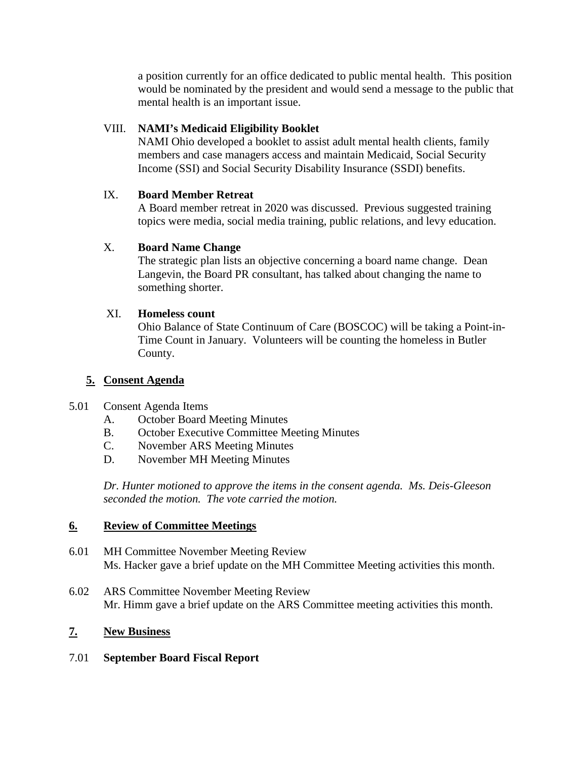a position currently for an office dedicated to public mental health. This position would be nominated by the president and would send a message to the public that mental health is an important issue.

### VIII. **NAMI's Medicaid Eligibility Booklet**

NAMI Ohio developed a booklet to assist adult mental health clients, family members and case managers access and maintain Medicaid, Social Security Income (SSI) and Social Security Disability Insurance (SSDI) benefits.

# IX. **Board Member Retreat**

A Board member retreat in 2020 was discussed. Previous suggested training topics were media, social media training, public relations, and levy education.

# X. **Board Name Change**

The strategic plan lists an objective concerning a board name change. Dean Langevin, the Board PR consultant, has talked about changing the name to something shorter.

# XI. **Homeless count**

Ohio Balance of State Continuum of Care (BOSCOC) will be taking a Point-in-Time Count in January. Volunteers will be counting the homeless in Butler County.

# **5. Consent Agenda**

### 5.01 Consent Agenda Items

- A. October Board Meeting Minutes
- B. October Executive Committee Meeting Minutes
- C. November ARS Meeting Minutes
- D. November MH Meeting Minutes

*Dr. Hunter motioned to approve the items in the consent agenda. Ms. Deis-Gleeson seconded the motion. The vote carried the motion.*

### **6. Review of Committee Meetings**

- 6.01 MH Committee November Meeting Review Ms. Hacker gave a brief update on the MH Committee Meeting activities this month.
- 6.02 ARS Committee November Meeting Review Mr. Himm gave a brief update on the ARS Committee meeting activities this month.

### **7. New Business**

### 7.01 **September Board Fiscal Report**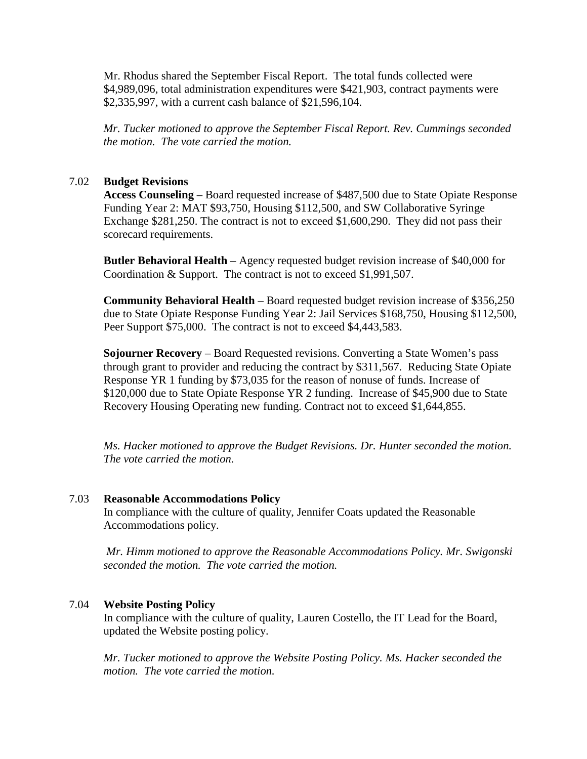Mr. Rhodus shared the September Fiscal Report. The total funds collected were \$4,989,096, total administration expenditures were \$421,903, contract payments were \$2,335,997, with a current cash balance of \$21,596,104.

*Mr. Tucker motioned to approve the September Fiscal Report. Rev. Cummings seconded the motion. The vote carried the motion.*

#### 7.02 **Budget Revisions**

**Access Counseling** – Board requested increase of \$487,500 due to State Opiate Response Funding Year 2: MAT \$93,750, Housing \$112,500, and SW Collaborative Syringe Exchange \$281,250. The contract is not to exceed \$1,600,290. They did not pass their scorecard requirements.

**Butler Behavioral Health** – Agency requested budget revision increase of \$40,000 for Coordination & Support. The contract is not to exceed \$1,991,507.

**Community Behavioral Health** – Board requested budget revision increase of \$356,250 due to State Opiate Response Funding Year 2: Jail Services \$168,750, Housing \$112,500, Peer Support \$75,000. The contract is not to exceed \$4,443,583.

**Sojourner Recovery** – Board Requested revisions. Converting a State Women's pass through grant to provider and reducing the contract by \$311,567. Reducing State Opiate Response YR 1 funding by \$73,035 for the reason of nonuse of funds. Increase of \$120,000 due to State Opiate Response YR 2 funding. Increase of \$45,900 due to State Recovery Housing Operating new funding. Contract not to exceed \$1,644,855.

*Ms. Hacker motioned to approve the Budget Revisions. Dr. Hunter seconded the motion. The vote carried the motion.*

#### 7.03 **Reasonable Accommodations Policy**

In compliance with the culture of quality, Jennifer Coats updated the Reasonable Accommodations policy.

*Mr. Himm motioned to approve the Reasonable Accommodations Policy. Mr. Swigonski seconded the motion. The vote carried the motion.*

#### 7.04 **Website Posting Policy**

In compliance with the culture of quality, Lauren Costello, the IT Lead for the Board, updated the Website posting policy.

*Mr. Tucker motioned to approve the Website Posting Policy. Ms. Hacker seconded the motion. The vote carried the motion.*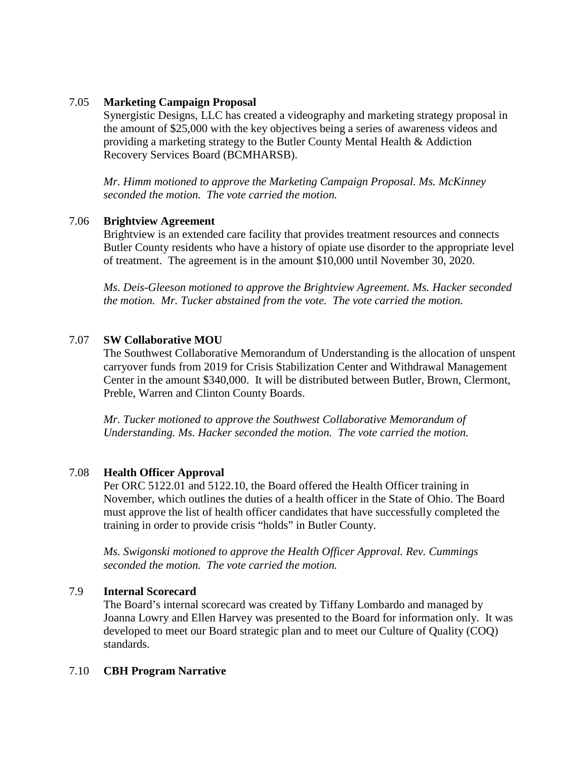#### 7.05 **Marketing Campaign Proposal**

Synergistic Designs, LLC has created a videography and marketing strategy proposal in the amount of \$25,000 with the key objectives being a series of awareness videos and providing a marketing strategy to the Butler County Mental Health & Addiction Recovery Services Board (BCMHARSB).

*Mr. Himm motioned to approve the Marketing Campaign Proposal. Ms. McKinney seconded the motion. The vote carried the motion.*

#### 7.06 **Brightview Agreement**

Brightview is an extended care facility that provides treatment resources and connects Butler County residents who have a history of opiate use disorder to the appropriate level of treatment. The agreement is in the amount \$10,000 until November 30, 2020.

*Ms. Deis-Gleeson motioned to approve the Brightview Agreement. Ms. Hacker seconded the motion. Mr. Tucker abstained from the vote. The vote carried the motion.*

#### 7.07 **SW Collaborative MOU**

The Southwest Collaborative Memorandum of Understanding is the allocation of unspent carryover funds from 2019 for Crisis Stabilization Center and Withdrawal Management Center in the amount \$340,000. It will be distributed between Butler, Brown, Clermont, Preble, Warren and Clinton County Boards.

*Mr. Tucker motioned to approve the Southwest Collaborative Memorandum of Understanding. Ms. Hacker seconded the motion. The vote carried the motion.*

#### 7.08 **Health Officer Approval**

Per ORC 5122.01 and 5122.10, the Board offered the Health Officer training in November, which outlines the duties of a health officer in the State of Ohio. The Board must approve the list of health officer candidates that have successfully completed the training in order to provide crisis "holds" in Butler County.

*Ms. Swigonski motioned to approve the Health Officer Approval. Rev. Cummings seconded the motion. The vote carried the motion.*

#### 7.9 **Internal Scorecard**

The Board's internal scorecard was created by Tiffany Lombardo and managed by Joanna Lowry and Ellen Harvey was presented to the Board for information only. It was developed to meet our Board strategic plan and to meet our Culture of Quality (COQ) standards.

#### 7.10 **CBH Program Narrative**